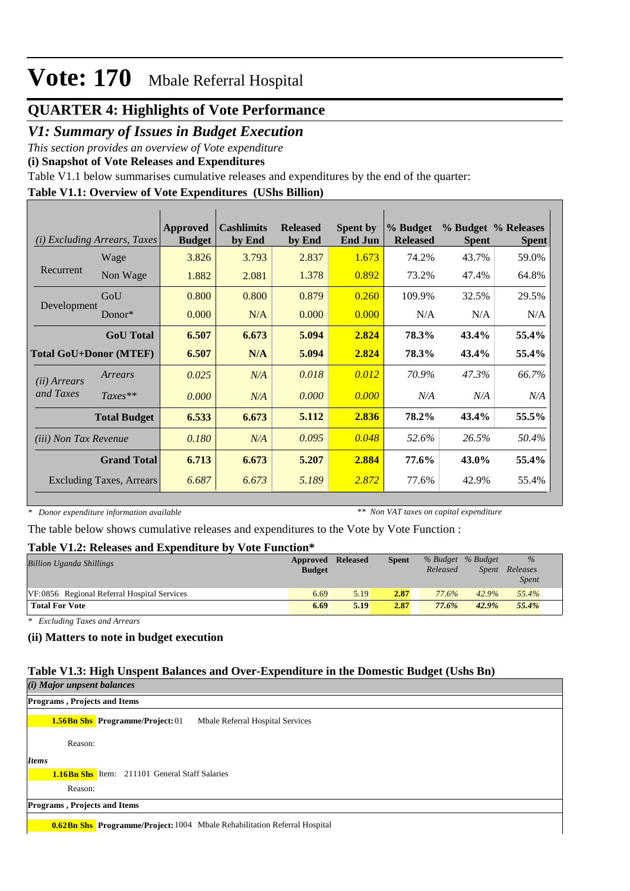### **QUARTER 4: Highlights of Vote Performance**

### *V1: Summary of Issues in Budget Execution*

*This section provides an overview of Vote expenditure* 

**(i) Snapshot of Vote Releases and Expenditures**

Table V1.1 below summarises cumulative releases and expenditures by the end of the quarter:

### **Table V1.1: Overview of Vote Expenditures (UShs Billion)**

|                              | ( <i>i</i> ) Excluding Arrears, Taxes | Approved<br><b>Budget</b> | <b>Cashlimits</b><br>by End | <b>Released</b><br>by End | <b>Spent by</b><br><b>End Jun</b> | % Budget<br><b>Released</b> | <b>Spent</b> | % Budget % Releases<br><b>Spent</b> |
|------------------------------|---------------------------------------|---------------------------|-----------------------------|---------------------------|-----------------------------------|-----------------------------|--------------|-------------------------------------|
|                              | Wage                                  | 3.826                     | 3.793                       | 2.837                     | 1.673                             | 74.2%                       | 43.7%        | 59.0%                               |
| Recurrent                    | Non Wage                              | 1.882                     | 2.081                       | 1.378                     | 0.892                             | 73.2%                       | 47.4%        | 64.8%                               |
|                              | GoU                                   | 0.800                     | 0.800                       | 0.879                     | 0.260                             | 109.9%                      | 32.5%        | 29.5%                               |
| Development                  | Donor $*$                             | 0.000                     | N/A                         | 0.000                     | 0.000                             | N/A                         | N/A          | N/A                                 |
|                              | <b>GoU</b> Total                      | 6.507                     | 6.673                       | 5.094                     | 2.824                             | 78.3%                       | 43.4%        | 55.4%                               |
|                              | <b>Total GoU+Donor (MTEF)</b>         | 6.507                     | N/A                         | 5.094                     | 2.824                             | 78.3%                       | 43.4%        | 55.4%                               |
| ( <i>ii</i> ) Arrears        | Arrears                               | 0.025                     | N/A                         | 0.018                     | 0.012                             | 70.9%                       | 47.3%        | 66.7%                               |
| and Taxes                    | $Taxes**$                             | 0.000                     | N/A                         | 0.000                     | 0.000                             | N/A                         | N/A          | N/A                                 |
|                              | <b>Total Budget</b>                   | 6.533                     | 6.673                       | 5.112                     | 2.836                             | 78.2%                       | 43.4%        | 55.5%                               |
| <i>(iii)</i> Non Tax Revenue |                                       | 0.180                     | N/A                         | 0.095                     | 0.048                             | 52.6%                       | 26.5%        | 50.4%                               |
|                              | <b>Grand Total</b>                    | 6.713                     | 6.673                       | 5.207                     | 2.884                             | 77.6%                       | 43.0%        | 55.4%                               |
|                              | <b>Excluding Taxes, Arrears</b>       | 6.687                     | 6.673                       | 5.189                     | 2.872                             | 77.6%                       | 42.9%        | 55.4%                               |
|                              |                                       |                           |                             |                           |                                   |                             |              |                                     |

*\* Donor expenditure information available*

*\*\* Non VAT taxes on capital expenditure*

The table below shows cumulative releases and expenditures to the Vote by Vote Function :

### **Table V1.2: Releases and Expenditure by Vote Function\***

| <b>Billion Uganda Shillings</b>             | Approved<br><b>Budget</b> | Released | <b>Spent</b> | Released | % Budget % Budget<br>Spent | $\%$<br>Releases<br><b>Spent</b> |
|---------------------------------------------|---------------------------|----------|--------------|----------|----------------------------|----------------------------------|
| VF:0856 Regional Referral Hospital Services | 6.69                      | 5.19     | 2.87         | 77.6%    | 42.9%                      | 55.4%                            |
| <b>Total For Vote</b>                       | 6.69                      | 5.19     | 2.87         | 77.6%    | 42.9%                      | 55.4%                            |

*\* Excluding Taxes and Arrears*

### **(ii) Matters to note in budget execution**

### **Table V1.3: High Unspent Balances and Over-Expenditure in the Domestic Budget (Ushs Bn)**

| (i) Major unpsent balances                                                       |
|----------------------------------------------------------------------------------|
| <b>Programs, Projects and Items</b>                                              |
| Mbale Referral Hospital Services<br><b>1.56Bn Shs</b> Programme/Project: 01      |
| Reason:                                                                          |
| <b>Items</b>                                                                     |
| <b>1.16Bn Shs</b> Item: 211101 General Staff Salaries                            |
| Reason:                                                                          |
| <b>Programs, Projects and Items</b>                                              |
| <b>0.62Bn Shs</b> Programme/Project: 1004 Mbale Rehabilitation Referral Hospital |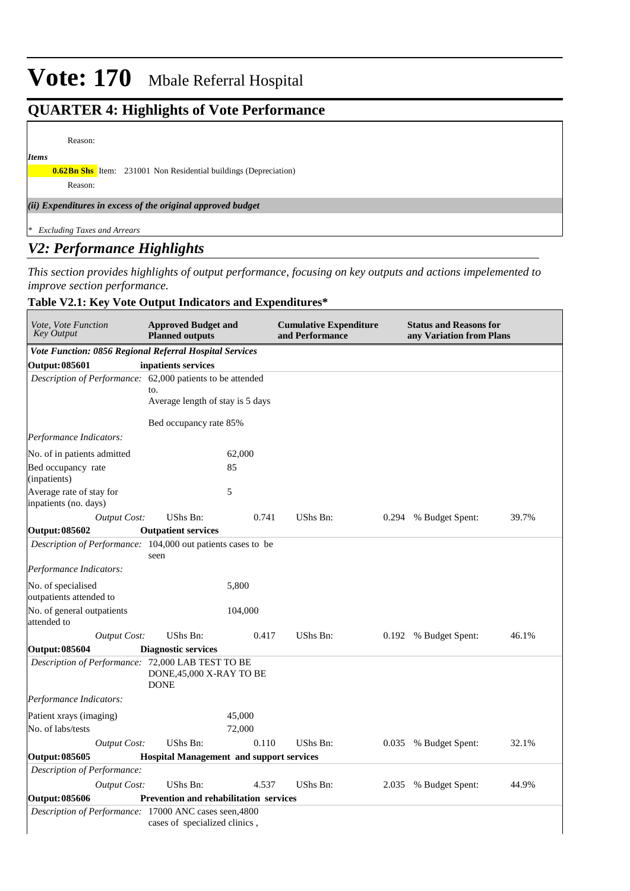### **QUARTER 4: Highlights of Vote Performance**

#### Reason:

*Items*

**0.62Bn Shs** Item: 231001 Non Residential buildings (Depreciation)

Reason:

*(ii) Expenditures in excess of the original approved budget*

*\* Excluding Taxes and Arrears*

### *V2: Performance Highlights*

*This section provides highlights of output performance, focusing on key outputs and actions impelemented to improve section performance.*

### **Table V2.1: Key Vote Output Indicators and Expenditures\***

| Vote, Vote Function<br><b>Key Output</b>                     | <b>Approved Budget and</b><br><b>Planned outputs</b> |                  | <b>Cumulative Expenditure</b><br>and Performance |       | <b>Status and Reasons for</b><br>any Variation from Plans |       |  |  |
|--------------------------------------------------------------|------------------------------------------------------|------------------|--------------------------------------------------|-------|-----------------------------------------------------------|-------|--|--|
| Vote Function: 0856 Regional Referral Hospital Services      |                                                      |                  |                                                  |       |                                                           |       |  |  |
| <b>Output: 085601</b>                                        | inpatients services                                  |                  |                                                  |       |                                                           |       |  |  |
| Description of Performance: 62,000 patients to be attended   |                                                      |                  |                                                  |       |                                                           |       |  |  |
|                                                              | to.<br>Average length of stay is 5 days              |                  |                                                  |       |                                                           |       |  |  |
|                                                              | Bed occupancy rate 85%                               |                  |                                                  |       |                                                           |       |  |  |
| Performance Indicators:                                      |                                                      |                  |                                                  |       |                                                           |       |  |  |
| No. of in patients admitted                                  |                                                      | 62,000           |                                                  |       |                                                           |       |  |  |
| Bed occupancy rate<br>(inpatients)                           |                                                      | 85               |                                                  |       |                                                           |       |  |  |
| Average rate of stay for<br>inpatients (no. days)            |                                                      | 5                |                                                  |       |                                                           |       |  |  |
| <b>Output Cost:</b>                                          | UShs Bn:                                             | 0.741            | UShs Bn:                                         | 0.294 | % Budget Spent:                                           | 39.7% |  |  |
| <b>Output: 085602</b>                                        | <b>Outpatient services</b>                           |                  |                                                  |       |                                                           |       |  |  |
| Description of Performance: 104,000 out patients cases to be | seen                                                 |                  |                                                  |       |                                                           |       |  |  |
| Performance Indicators:                                      |                                                      |                  |                                                  |       |                                                           |       |  |  |
| No. of specialised<br>outpatients attended to                |                                                      | 5,800            |                                                  |       |                                                           |       |  |  |
| No. of general outpatients<br>attended to                    |                                                      | 104,000          |                                                  |       |                                                           |       |  |  |
| <b>Output Cost:</b>                                          | <b>UShs Bn:</b>                                      | 0.417            | UShs Bn:                                         | 0.192 | % Budget Spent:                                           | 46.1% |  |  |
| <b>Output: 085604</b>                                        | <b>Diagnostic services</b>                           |                  |                                                  |       |                                                           |       |  |  |
| Description of Performance: 72,000 LAB TEST TO BE            | DONE, 45,000 X-RAY TO BE<br><b>DONE</b>              |                  |                                                  |       |                                                           |       |  |  |
| Performance Indicators:                                      |                                                      |                  |                                                  |       |                                                           |       |  |  |
| Patient xrays (imaging)<br>No. of labs/tests                 |                                                      | 45,000<br>72,000 |                                                  |       |                                                           |       |  |  |
| <b>Output Cost:</b>                                          | UShs Bn:                                             | 0.110            | UShs Bn:                                         | 0.035 | % Budget Spent:                                           | 32.1% |  |  |
| <b>Output: 085605</b>                                        | <b>Hospital Management and support services</b>      |                  |                                                  |       |                                                           |       |  |  |
| Description of Performance:                                  |                                                      |                  |                                                  |       |                                                           |       |  |  |
| <b>Output Cost:</b>                                          | UShs Bn:                                             | 4.537            | UShs Bn:                                         | 2.035 | % Budget Spent:                                           | 44.9% |  |  |
| Output: 085606                                               | <b>Prevention and rehabilitation services</b>        |                  |                                                  |       |                                                           |       |  |  |
| Description of Performance: 17000 ANC cases seen, 4800       | cases of specialized clinics,                        |                  |                                                  |       |                                                           |       |  |  |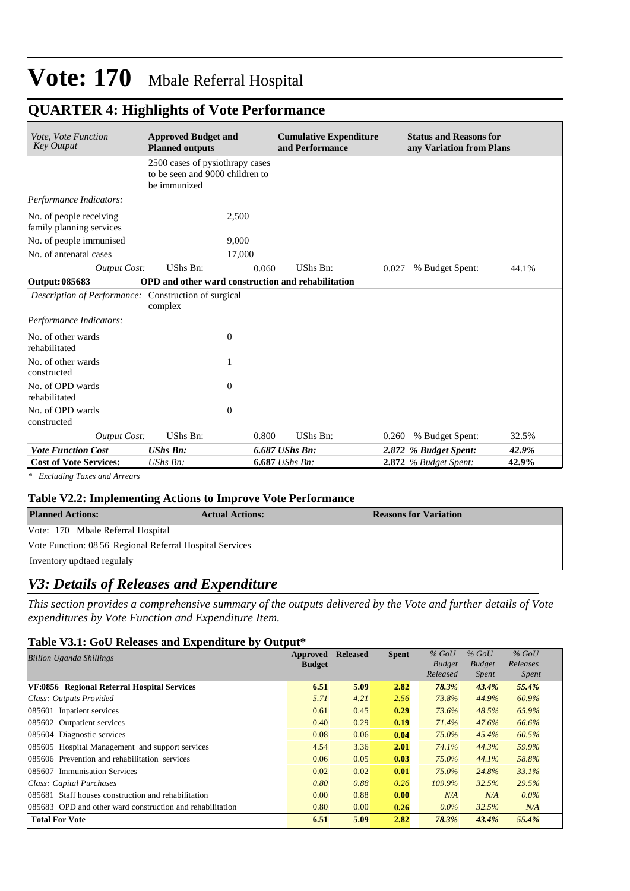### **QUARTER 4: Highlights of Vote Performance**

| Vote, Vote Function<br><b>Key Output</b>             | <b>Approved Budget and</b><br><b>Planned outputs</b>                               |                  | <b>Cumulative Expenditure</b><br>and Performance |       | <b>Status and Reasons for</b><br>any Variation from Plans |       |
|------------------------------------------------------|------------------------------------------------------------------------------------|------------------|--------------------------------------------------|-------|-----------------------------------------------------------|-------|
|                                                      | 2500 cases of pysiothrapy cases<br>to be seen and 9000 children to<br>be immunized |                  |                                                  |       |                                                           |       |
| Performance Indicators:                              |                                                                                    |                  |                                                  |       |                                                           |       |
| No. of people receiving<br>family planning services  | 2,500                                                                              |                  |                                                  |       |                                                           |       |
| No. of people immunised                              | 9.000                                                                              |                  |                                                  |       |                                                           |       |
| No. of antenatal cases                               | 17,000                                                                             |                  |                                                  |       |                                                           |       |
| <b>Output Cost:</b>                                  | <b>UShs Bn:</b>                                                                    | 0.060            | UShs Bn:                                         | 0.027 | % Budget Spent:                                           | 44.1% |
| Output: 085683                                       | <b>OPD</b> and other ward construction and rehabilitation                          |                  |                                                  |       |                                                           |       |
| Description of Performance: Construction of surgical | complex                                                                            |                  |                                                  |       |                                                           |       |
| Performance Indicators:                              |                                                                                    |                  |                                                  |       |                                                           |       |
| No. of other wards<br>rehabilitated                  | $\boldsymbol{0}$                                                                   |                  |                                                  |       |                                                           |       |
| No. of other wards<br>constructed                    | 1                                                                                  |                  |                                                  |       |                                                           |       |
| No. of OPD wards<br>rehabilitated                    | $\mathbf{0}$                                                                       |                  |                                                  |       |                                                           |       |
| No. of OPD wards<br>constructed                      | $\boldsymbol{0}$                                                                   |                  |                                                  |       |                                                           |       |
| <b>Output Cost:</b>                                  | UShs Bn:                                                                           | 0.800            | UShs Bn:                                         |       | 0.260 % Budget Spent:                                     | 32.5% |
| <b>Vote Function Cost</b>                            | <b>UShs Bn:</b>                                                                    | 6.687 UShs Bn:   |                                                  |       | 2.872 % Budget Spent:                                     | 42.9% |
| <b>Cost of Vote Services:</b>                        | UShs Bn:                                                                           | $6.687$ UShs Bn: |                                                  |       | 2.872 % Budget Spent:                                     | 42.9% |

*\* Excluding Taxes and Arrears*

#### **Table V2.2: Implementing Actions to Improve Vote Performance**

| <b>Planned Actions:</b>                                  | <b>Actual Actions:</b> | <b>Reasons for Variation</b> |
|----------------------------------------------------------|------------------------|------------------------------|
| Vote: 170 Mbale Referral Hospital                        |                        |                              |
| Vote Function: 08 56 Regional Referral Hospital Services |                        |                              |
| Inventory updtaed regulaly                               |                        |                              |

### *V3: Details of Releases and Expenditure*

*This section provides a comprehensive summary of the outputs delivered by the Vote and further details of Vote expenditures by Vote Function and Expenditure Item.*

#### **Table V3.1: GoU Releases and Expenditure by Output\***

| <b>Billion Uganda Shillings</b>                           | Approved<br><b>Budget</b> | <b>Released</b> | <b>Spent</b> | $%$ GoU<br><b>Budget</b> | $%$ GoU<br><b>Budget</b> | $%$ GoU<br>Releases |
|-----------------------------------------------------------|---------------------------|-----------------|--------------|--------------------------|--------------------------|---------------------|
|                                                           |                           |                 |              | Released                 | <i>Spent</i>             | <i>Spent</i>        |
| VF:0856 Regional Referral Hospital Services               | 6.51                      | 5.09            | 2.82         | 78.3%                    | 43.4%                    | 55.4%               |
| Class: Outputs Provided                                   | 5.71                      | 4.21            | 2.56         | 73.8%                    | 44.9%                    | 60.9%               |
| 085601 Inpatient services                                 | 0.61                      | 0.45            | 0.29         | 73.6%                    | 48.5%                    | 65.9%               |
| 085602 Outpatient services                                | 0.40                      | 0.29            | 0.19         | 71.4%                    | 47.6%                    | 66.6%               |
| 085604 Diagnostic services                                | 0.08                      | 0.06            | 0.04         | 75.0%                    | 45.4%                    | 60.5%               |
| 085605 Hospital Management and support services           | 4.54                      | 3.36            | 2.01         | 74.1%                    | 44.3%                    | 59.9%               |
| 085606 Prevention and rehabilitation services             | 0.06                      | 0.05            | 0.03         | 75.0%                    | 44.1%                    | 58.8%               |
| 1085607 Immunisation Services                             | 0.02                      | 0.02            | 0.01         | 75.0%                    | 24.8%                    | 33.1%               |
| Class: Capital Purchases                                  | 0.80                      | 0.88            | 0.26         | 109.9%                   | 32.5%                    | 29.5%               |
| 085681 Staff houses construction and rehabilitation       | 0.00                      | 0.88            | 0.00         | N/A                      | N/A                      | $0.0\%$             |
| 085683 OPD and other ward construction and rehabilitation | 0.80                      | 0.00            | 0.26         | $0.0\%$                  | 32.5%                    | N/A                 |
| <b>Total For Vote</b>                                     | 6.51                      | 5.09            | 2.82         | 78.3%                    | 43.4%                    | 55.4%               |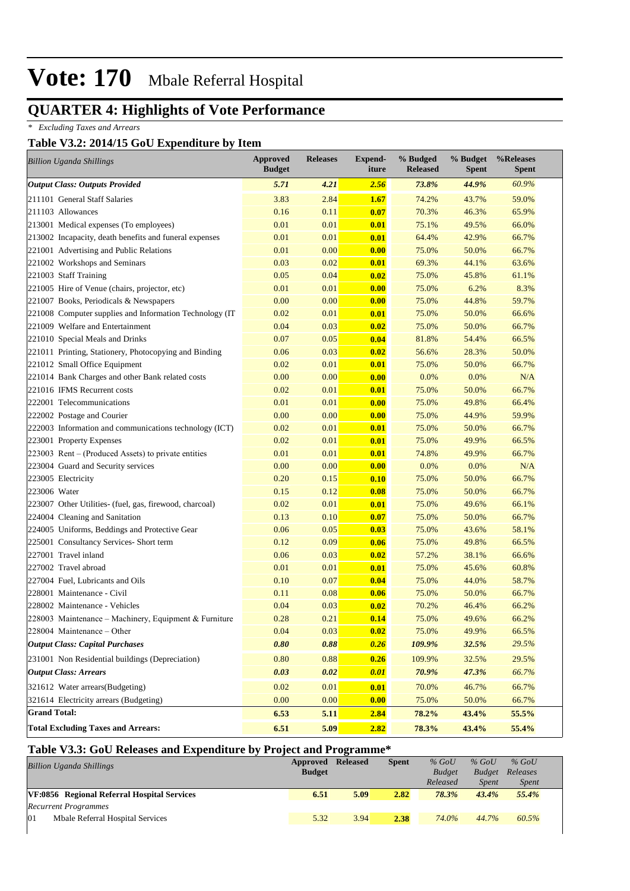### **QUARTER 4: Highlights of Vote Performance**

*\* Excluding Taxes and Arrears*

#### **Table V3.2: 2014/15 GoU Expenditure by Item**

| <b>Billion Uganda Shillings</b>                         | <b>Approved</b><br><b>Budget</b> | <b>Releases</b> | Expend-<br>iture | % Budged<br><b>Released</b> | % Budget<br><b>Spent</b> | %Releases<br><b>Spent</b> |
|---------------------------------------------------------|----------------------------------|-----------------|------------------|-----------------------------|--------------------------|---------------------------|
| <b>Output Class: Outputs Provided</b>                   | 5.71                             | 4.21            | 2.56             | 73.8%                       | 44.9%                    | 60.9%                     |
| 211101 General Staff Salaries                           | 3.83                             | 2.84            | 1.67             | 74.2%                       | 43.7%                    | 59.0%                     |
| 211103 Allowances                                       | 0.16                             | 0.11            | 0.07             | 70.3%                       | 46.3%                    | 65.9%                     |
| 213001 Medical expenses (To employees)                  | 0.01                             | 0.01            | 0.01             | 75.1%                       | 49.5%                    | 66.0%                     |
| 213002 Incapacity, death benefits and funeral expenses  | 0.01                             | 0.01            | 0.01             | 64.4%                       | 42.9%                    | 66.7%                     |
| 221001 Advertising and Public Relations                 | 0.01                             | 0.00            | 0.00             | 75.0%                       | 50.0%                    | 66.7%                     |
| 221002 Workshops and Seminars                           | 0.03                             | 0.02            | 0.01             | 69.3%                       | 44.1%                    | 63.6%                     |
| 221003 Staff Training                                   | 0.05                             | 0.04            | 0.02             | 75.0%                       | 45.8%                    | 61.1%                     |
| 221005 Hire of Venue (chairs, projector, etc)           | 0.01                             | 0.01            | 0.00             | 75.0%                       | 6.2%                     | 8.3%                      |
| 221007 Books, Periodicals & Newspapers                  | 0.00                             | 0.00            | 0.00             | 75.0%                       | 44.8%                    | 59.7%                     |
| 221008 Computer supplies and Information Technology (IT | 0.02                             | 0.01            | 0.01             | 75.0%                       | 50.0%                    | 66.6%                     |
| 221009 Welfare and Entertainment                        | 0.04                             | 0.03            | 0.02             | 75.0%                       | 50.0%                    | 66.7%                     |
| 221010 Special Meals and Drinks                         | 0.07                             | 0.05            | 0.04             | 81.8%                       | 54.4%                    | 66.5%                     |
| 221011 Printing, Stationery, Photocopying and Binding   | 0.06                             | 0.03            | 0.02             | 56.6%                       | 28.3%                    | 50.0%                     |
| 221012 Small Office Equipment                           | 0.02                             | 0.01            | 0.01             | 75.0%                       | 50.0%                    | 66.7%                     |
| 221014 Bank Charges and other Bank related costs        | 0.00                             | 0.00            | 0.00             | 0.0%                        | 0.0%                     | N/A                       |
| 221016 IFMS Recurrent costs                             | 0.02                             | 0.01            | 0.01             | 75.0%                       | 50.0%                    | 66.7%                     |
| 222001 Telecommunications                               | 0.01                             | 0.01            | 0.00             | 75.0%                       | 49.8%                    | 66.4%                     |
| 222002 Postage and Courier                              | 0.00                             | 0.00            | 0.00             | 75.0%                       | 44.9%                    | 59.9%                     |
| 222003 Information and communications technology (ICT)  | 0.02                             | 0.01            | 0.01             | 75.0%                       | 50.0%                    | 66.7%                     |
| 223001 Property Expenses                                | 0.02                             | 0.01            | 0.01             | 75.0%                       | 49.9%                    | 66.5%                     |
| 223003 Rent – (Produced Assets) to private entities     | 0.01                             | 0.01            | 0.01             | 74.8%                       | 49.9%                    | 66.7%                     |
| 223004 Guard and Security services                      | 0.00                             | 0.00            | 0.00             | 0.0%                        | 0.0%                     | N/A                       |
| 223005 Electricity                                      | 0.20                             | 0.15            | 0.10             | 75.0%                       | 50.0%                    | 66.7%                     |
| 223006 Water                                            | 0.15                             | 0.12            | 0.08             | 75.0%                       | 50.0%                    | 66.7%                     |
| 223007 Other Utilities- (fuel, gas, firewood, charcoal) | 0.02                             | 0.01            | 0.01             | 75.0%                       | 49.6%                    | 66.1%                     |
| 224004 Cleaning and Sanitation                          | 0.13                             | 0.10            | 0.07             | 75.0%                       | 50.0%                    | 66.7%                     |
| 224005 Uniforms, Beddings and Protective Gear           | 0.06                             | 0.05            | 0.03             | 75.0%                       | 43.6%                    | 58.1%                     |
| 225001 Consultancy Services- Short term                 | 0.12                             | 0.09            | 0.06             | 75.0%                       | 49.8%                    | 66.5%                     |
| 227001 Travel inland                                    | 0.06                             | 0.03            | 0.02             | 57.2%                       | 38.1%                    | 66.6%                     |
| 227002 Travel abroad                                    | 0.01                             | 0.01            | 0.01             | 75.0%                       | 45.6%                    | 60.8%                     |
| 227004 Fuel, Lubricants and Oils                        | 0.10                             | 0.07            | 0.04             | 75.0%                       | 44.0%                    | 58.7%                     |
| 228001 Maintenance - Civil                              | 0.11                             | 0.08            | 0.06             | 75.0%                       | 50.0%                    | 66.7%                     |
| 228002 Maintenance - Vehicles                           | 0.04                             | 0.03            | 0.02             | 70.2%                       | 46.4%                    | 66.2%                     |
| 228003 Maintenance – Machinery, Equipment & Furniture   | 0.28                             | 0.21            | 0.14             | 75.0%                       | 49.6%                    | 66.2%                     |
| $228004$ Maintenance – Other                            | 0.04                             | 0.03            | 0.02             | 75.0%                       | 49.9%                    | 66.5%                     |
| <b>Output Class: Capital Purchases</b>                  | 0.80                             | 0.88            | 0.26             | 109.9%                      | 32.5%                    | 29.5%                     |
| 231001 Non Residential buildings (Depreciation)         | 0.80                             | 0.88            | 0.26             | 109.9%                      | 32.5%                    | 29.5%                     |
| <b>Output Class: Arrears</b>                            | 0.03                             | 0.02            | 0.01             | 70.9%                       | 47.3%                    | 66.7%                     |
| 321612 Water arrears(Budgeting)                         | 0.02                             | 0.01            | 0.01             | 70.0%                       | 46.7%                    | 66.7%                     |
| 321614 Electricity arrears (Budgeting)                  | 0.00                             | 0.00            | 0.00             | 75.0%                       | 50.0%                    | 66.7%                     |
| <b>Grand Total:</b>                                     | 6.53                             | 5.11            | 2.84             | 78.2%                       | 43.4%                    | 55.5%                     |
| <b>Total Excluding Taxes and Arrears:</b>               | 6.51                             | 5.09            | 2.82             | 78.3%                       | 43.4%                    | 55.4%                     |

### **Table V3.3: GoU Releases and Expenditure by Project and Programme\***

| <b>Billion Uganda Shillings</b>             | Approved<br><b>Budget</b> | <b>Released</b> | <b>Spent</b> | $%$ GoU<br><b>Budget</b> | $%$ GoU<br><b>Budget</b> | $%$ GoU<br>Releases |
|---------------------------------------------|---------------------------|-----------------|--------------|--------------------------|--------------------------|---------------------|
|                                             |                           |                 |              | Released                 | Spent                    | <i>Spent</i>        |
| VF:0856 Regional Referral Hospital Services | 6.51                      | 5.09            | 2.82         | 78.3%                    | 43.4%                    | 55.4%               |
| <b>Recurrent Programmes</b>                 |                           |                 |              |                          |                          |                     |
| Mbale Referral Hospital Services<br>101     | 5.32                      | 3.94            | 2.38         | 74.0%                    | 44.7%                    | 60.5%               |
|                                             |                           |                 |              |                          |                          |                     |